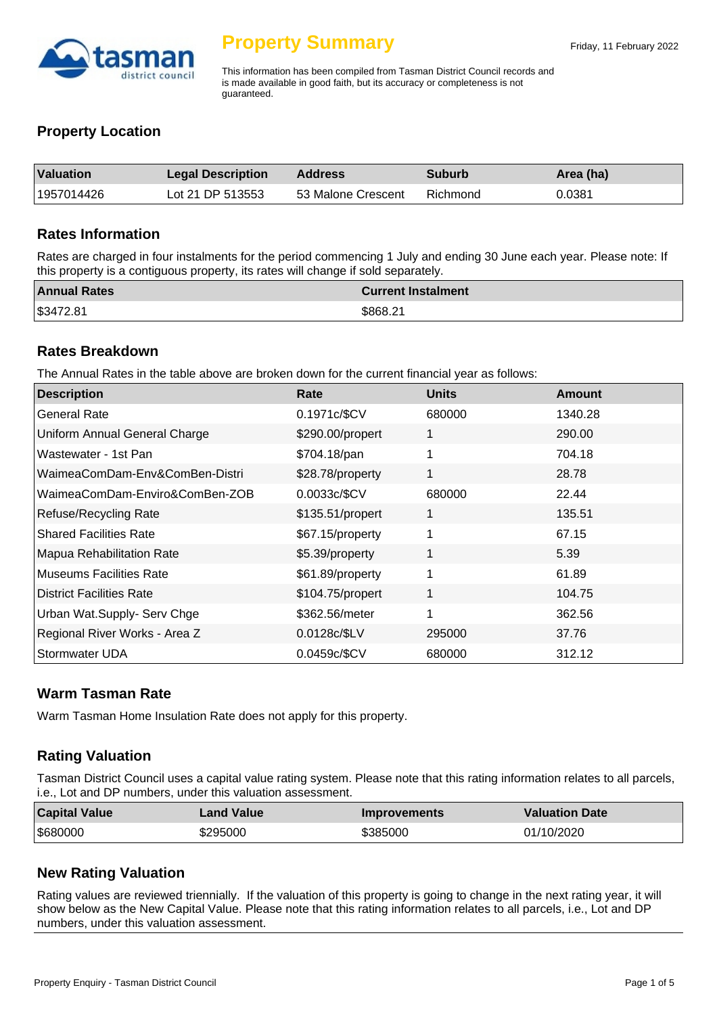

# **Property Summary**

This information has been compiled from Tasman District Council records and is made available in good faith, but its accuracy or completeness is not guaranteed.

## **Property Location**

| <b>Valuation</b> | <b>Legal Description</b> | Address            | <b>Suburb</b> | Area (ha) |
|------------------|--------------------------|--------------------|---------------|-----------|
| 1957014426       | Lot 21 DP 513553         | 53 Malone Crescent | Richmond      | 0.0381    |

#### **Rates Information**

Rates are charged in four instalments for the period commencing 1 July and ending 30 June each year. Please note: If this property is a contiguous property, its rates will change if sold separately.

| <b>Annual Rates</b> | <b>Current Instalment</b> |
|---------------------|---------------------------|
| \$3472.81           | \$868.21                  |

#### **Rates Breakdown**

The Annual Rates in the table above are broken down for the current financial year as follows:

| <b>Description</b>              | Rate             | <b>Units</b> | <b>Amount</b> |
|---------------------------------|------------------|--------------|---------------|
| <b>General Rate</b>             | 0.1971c/\$CV     | 680000       | 1340.28       |
| Uniform Annual General Charge   | \$290.00/propert | 1            | 290.00        |
| Wastewater - 1st Pan            | \$704.18/pan     | 1            | 704.18        |
| WaimeaComDam-Env&ComBen-Distri  | \$28.78/property | 1            | 28.78         |
| WaimeaComDam-Enviro&ComBen-ZOB  | 0.0033c/\$CV     | 680000       | 22.44         |
| Refuse/Recycling Rate           | \$135.51/propert | 1            | 135.51        |
| <b>Shared Facilities Rate</b>   | \$67.15/property | 1            | 67.15         |
| Mapua Rehabilitation Rate       | \$5.39/property  | 1            | 5.39          |
| <b>Museums Facilities Rate</b>  | \$61.89/property | 1            | 61.89         |
| <b>District Facilities Rate</b> | \$104.75/propert | 1            | 104.75        |
| Urban Wat.Supply- Serv Chge     | \$362.56/meter   | 1            | 362.56        |
| Regional River Works - Area Z   | 0.0128c/\$LV     | 295000       | 37.76         |
| Stormwater UDA                  | 0.0459c/\$CV     | 680000       | 312.12        |

## **Warm Tasman Rate**

Warm Tasman Home Insulation Rate does not apply for this property.

# **Rating Valuation**

Tasman District Council uses a capital value rating system. Please note that this rating information relates to all parcels, i.e., Lot and DP numbers, under this valuation assessment.

| <b>Capital Value</b> | Land Value | <b>Improvements</b> | <b>Valuation Date</b> |
|----------------------|------------|---------------------|-----------------------|
| \$680000             | \$295000   | \$385000            | 01/10/2020            |

# **New Rating Valuation**

Rating values are reviewed triennially. If the valuation of this property is going to change in the next rating year, it will show below as the New Capital Value. Please note that this rating information relates to all parcels, i.e., Lot and DP numbers, under this valuation assessment.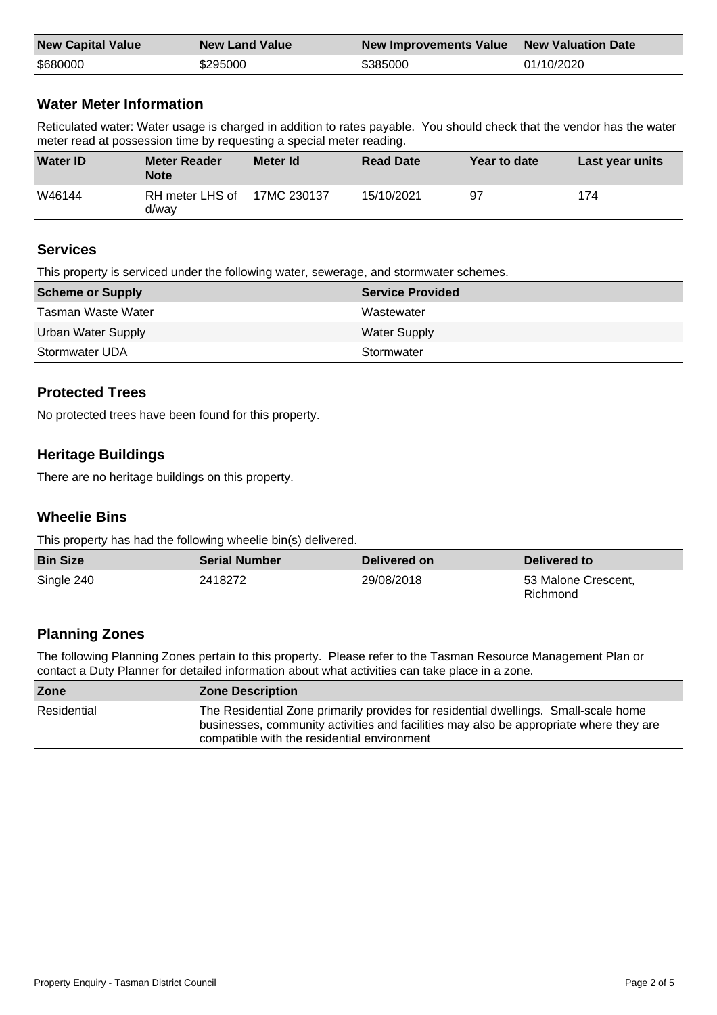| <b>New Capital Value</b> | <b>New Land Value</b> | New Improvements Value New Valuation Date |            |
|--------------------------|-----------------------|-------------------------------------------|------------|
| \$680000                 | \$295000              | \$385000                                  | 01/10/2020 |

# **Water Meter Information**

Reticulated water: Water usage is charged in addition to rates payable. You should check that the vendor has the water meter read at possession time by requesting a special meter reading.

| <b>Water ID</b> | <b>Meter Reader</b><br><b>Note</b> | Meter Id    | <b>Read Date</b> | Year to date | Last year units |
|-----------------|------------------------------------|-------------|------------------|--------------|-----------------|
| W46144          | RH meter LHS of<br>d/wav           | 17MC 230137 | 15/10/2021       | 97           | 174             |

## **Services**

This property is serviced under the following water, sewerage, and stormwater schemes.

| Scheme or Supply          | <b>Service Provided</b> |
|---------------------------|-------------------------|
| Tasman Waste Water        | Wastewater              |
| <b>Urban Water Supply</b> | <b>Water Supply</b>     |
| Stormwater UDA            | Stormwater              |

# **Protected Trees**

No protected trees have been found for this property.

# **Heritage Buildings**

There are no heritage buildings on this property.

# **Wheelie Bins**

This property has had the following wheelie bin(s) delivered.

| <b>Bin Size</b> | <b>Serial Number</b> | Delivered on | Delivered to                    |
|-----------------|----------------------|--------------|---------------------------------|
| Single 240      | 2418272              | 29/08/2018   | 53 Malone Crescent,<br>Richmond |

# **Planning Zones**

The following Planning Zones pertain to this property. Please refer to the Tasman Resource Management Plan or contact a Duty Planner for detailed information about what activities can take place in a zone.

| Zone        | <b>Zone Description</b>                                                                                                                                                                                                      |
|-------------|------------------------------------------------------------------------------------------------------------------------------------------------------------------------------------------------------------------------------|
| Residential | The Residential Zone primarily provides for residential dwellings. Small-scale home<br>businesses, community activities and facilities may also be appropriate where they are<br>compatible with the residential environment |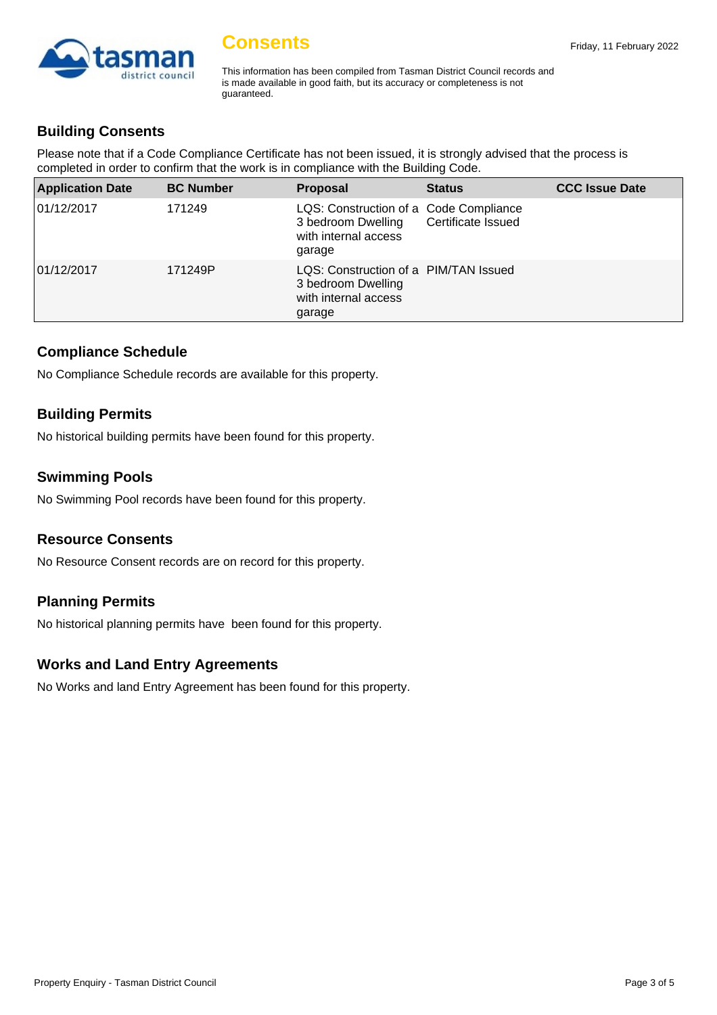

This information has been compiled from Tasman District Council records and is made available in good faith, but its accuracy or completeness is not guaranteed.

## **Building Consents**

Please note that if a Code Compliance Certificate has not been issued, it is strongly advised that the process is completed in order to confirm that the work is in compliance with the Building Code.

| <b>Application Date</b> | <b>BC Number</b> | <b>Proposal</b>                                                                                | <b>Status</b>      | <b>CCC Issue Date</b> |
|-------------------------|------------------|------------------------------------------------------------------------------------------------|--------------------|-----------------------|
| 01/12/2017              | 171249           | LQS: Construction of a Code Compliance<br>3 bedroom Dwelling<br>with internal access<br>garage | Certificate Issued |                       |
| 01/12/2017              | 171249P          | LQS: Construction of a PIM/TAN Issued<br>3 bedroom Dwelling<br>with internal access<br>garage  |                    |                       |

#### **Compliance Schedule**

No Compliance Schedule records are available for this property.

## **Building Permits**

No historical building permits have been found for this property.

## **Swimming Pools**

No Swimming Pool records have been found for this property.

#### **Resource Consents**

No Resource Consent records are on record for this property.

# **Planning Permits**

No historical planning permits have been found for this property.

#### **Works and Land Entry Agreements**

No Works and land Entry Agreement has been found for this property.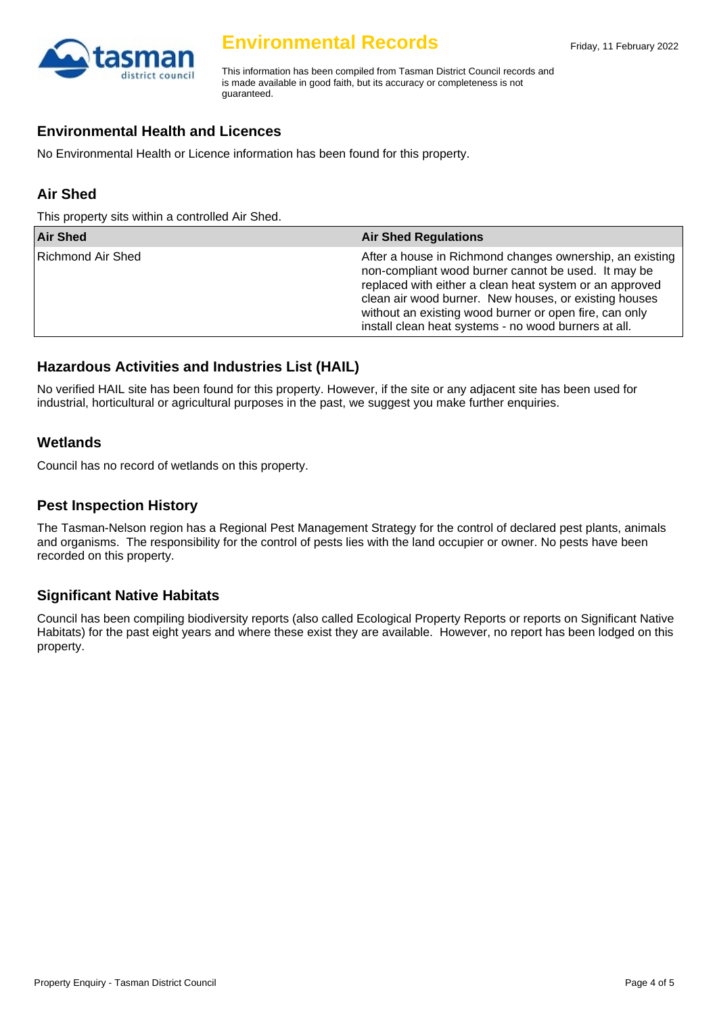

This information has been compiled from Tasman District Council records and is made available in good faith, but its accuracy or completeness is not guaranteed.

## **Environmental Health and Licences**

No Environmental Health or Licence information has been found for this property.

## **Air Shed**

This property sits within a controlled Air Shed.

| <b>Air Shed</b>   | <b>Air Shed Regulations</b>                                                                                                                                                                                                                                                                                                                             |
|-------------------|---------------------------------------------------------------------------------------------------------------------------------------------------------------------------------------------------------------------------------------------------------------------------------------------------------------------------------------------------------|
| Richmond Air Shed | After a house in Richmond changes ownership, an existing  <br>non-compliant wood burner cannot be used. It may be<br>replaced with either a clean heat system or an approved<br>clean air wood burner. New houses, or existing houses<br>without an existing wood burner or open fire, can only<br>install clean heat systems - no wood burners at all. |

## **Hazardous Activities and Industries List (HAIL)**

No verified HAIL site has been found for this property. However, if the site or any adjacent site has been used for industrial, horticultural or agricultural purposes in the past, we suggest you make further enquiries.

#### **Wetlands**

Council has no record of wetlands on this property.

#### **Pest Inspection History**

The Tasman-Nelson region has a Regional Pest Management Strategy for the control of declared pest plants, animals and organisms. The responsibility for the control of pests lies with the land occupier or owner. No pests have been recorded on this property.

#### **Significant Native Habitats**

Council has been compiling biodiversity reports (also called Ecological Property Reports or reports on Significant Native Habitats) for the past eight years and where these exist they are available. However, no report has been lodged on this property.